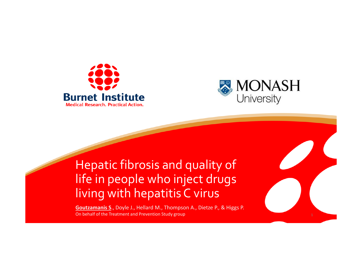



#### Hepatic fibrosis and quality of life in people who inject drugs living with hepatitis C virus

**Goutzamanis S**., Doyle J., Hellard M., Thompson A., Dietze P., & Higgs P. On behalf of the Treatment and Prevention Study group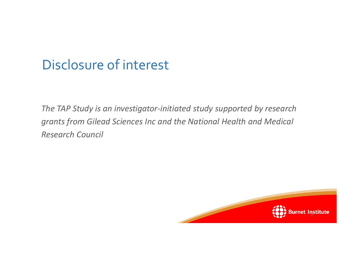### Disclosure of interest

*The TAP Study is an investigator-initiated study supported by research grants from Gilead Sciences Inc and the National Health and Medical Research Council* 

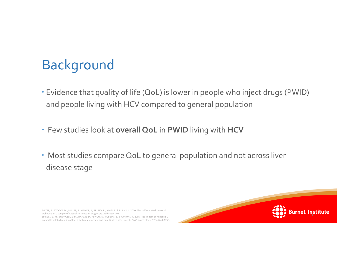# Background

- Evidence that quality of life (QoL) is lower in people who inject drugs (PWID) and people living with HCV compared to general population
- Few studies look at **overall QoL** in **PWID** living with **HCV**
- Most studies compare QoL to general population and not across liver disease stage

DIETZE, P., STOOVE, M., MILLER, P., KINNER, S., BRUNO, R., ALATI, R. & BURNS, L. 2010. The self-reported personal wellbeing of a sample of Australian injecting drug users. *Addiction,* 105. SPIEGEL, B. M., YOUNOSSI, Z. M., HAYS, R. D., REVICKI, D., ROBBINS, S. & KANWAL, F. 2005. The impact of hepatitis C on health related quality of life: a systematic review and quantitative assessment. *Gastroenterology,* 128**,** A749-A750.

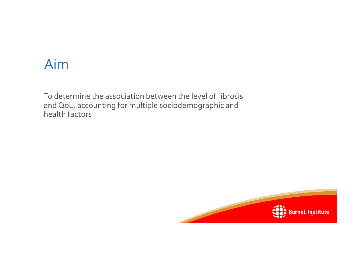#### Aim

To determine the association between the level of fibrosis and QoL, accounting for multiple sociodemographic and health factors

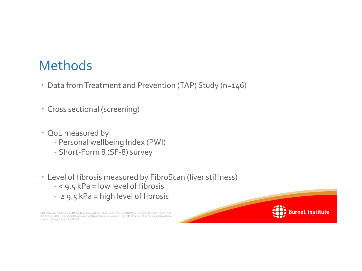### Methods

- Data from Treatment and Prevention (TAP) Study (n=146)
- Cross sectional (screening)
- OoL measured by
	- Personal wellbeing Index (PWI)
	- Short-Form 8 (SF-8) survey
- Level of fibrosis measured by FibroScan (liver stiffness)
	- < 9.5 kPa = low level of fibrosis
	- $-$  ≥ 9.5 kPa = high level of fibrosis

HELLARD, M., MCBRYDE, E., DAVIS, R. S., ROLLS, D. A., HIGGS, P., AITKEN, C., THOMPSON, A., DOYLE, J., PATTISON, P. & ROBINS, G. 2015. Hepatitis C transmission and treatment as prevention - The role of the injecting network. *International Journal of Drug Policy,* 26**,** 958-962.

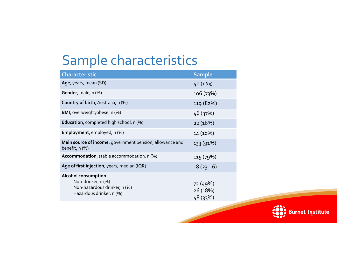## Sample characteristics

| <b>Characteristic</b>                                                                                 | <b>Sample</b>                    |
|-------------------------------------------------------------------------------------------------------|----------------------------------|
| Age, years, mean (SD)                                                                                 | 40 ( $\pm$ 8.5)                  |
| Gender, male, n (%)                                                                                   | 106 (73%)                        |
| Country of birth, Australia, n (%)                                                                    | 119 (82%)                        |
| BMI, overweight/obese, n (%)                                                                          | 46 (37%)                         |
| Education, completed high school, n (%)                                                               | 22 (16%)                         |
| Employment, employed, n (%)                                                                           | 14 (10%)                         |
| Main source of income, government pension, allowance and<br>benefit, n (%)                            | 133 (91%)                        |
| Accommodation, stable accommodation, n (%)                                                            | 115 (79%)                        |
| Age of first injection, years, median (IQR)                                                           | $18(23-16)$                      |
| Alcohol consumption<br>Non-drinker, n (%)<br>Non-hazardous drinker, n (%)<br>Hazardous drinker, n (%) | 72 (49%)<br>26 (18%)<br>48 (33%) |

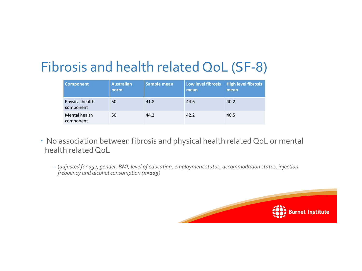## Fibrosis and health related QoL (SF-8)

| <b>Component</b>             | <b>Australian</b><br>norm | Sample mean | Low level fibrosis<br>mean | <b>High level fibrosis</b><br>mean |
|------------------------------|---------------------------|-------------|----------------------------|------------------------------------|
| Physical health<br>component | 50                        | 41.8        | 44.6                       | 40.2                               |
| Mental health<br>component   | 50                        | 44.2        | 42.2                       | 40.5                               |

- No association between fibrosis and physical health related QoL or mental health related QoL
	- (*adjusted for age, gender, BMI, level of education, employment status, accommodation status, injection frequency and alcohol consumption (n=109)*

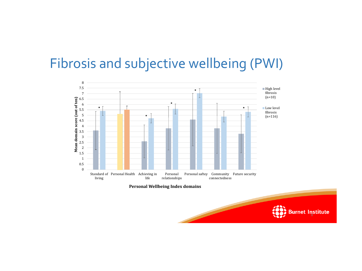### Fibrosis and subjective wellbeing (PWI)



**Personal Wellbeing Index domains**

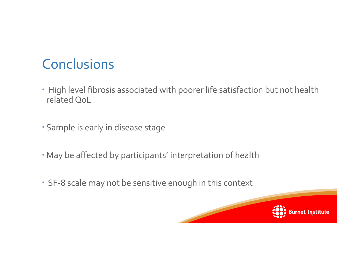# **Conclusions**

- High level fibrosis associated with poorer life satisfaction but not health related QoL
- Sample is early in disease stage
- May be affected by participants' interpretation of health
- SF-8 scale may not be sensitive enough in this context

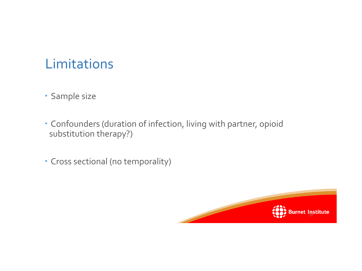## Limitations

- Sample size
- Confounders (duration of infection, living with partner, opioid substitution therapy?)
- Cross sectional (no temporality)

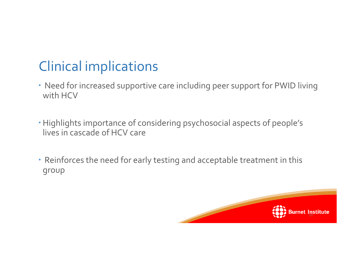# Clinical implications

- Need for increased supportive care including peer support for PWID living with HCV
- Highlights importance of considering psychosocial aspects of people's lives in cascade of HCV care
- Reinforces the need for early testing and acceptable treatment in this group